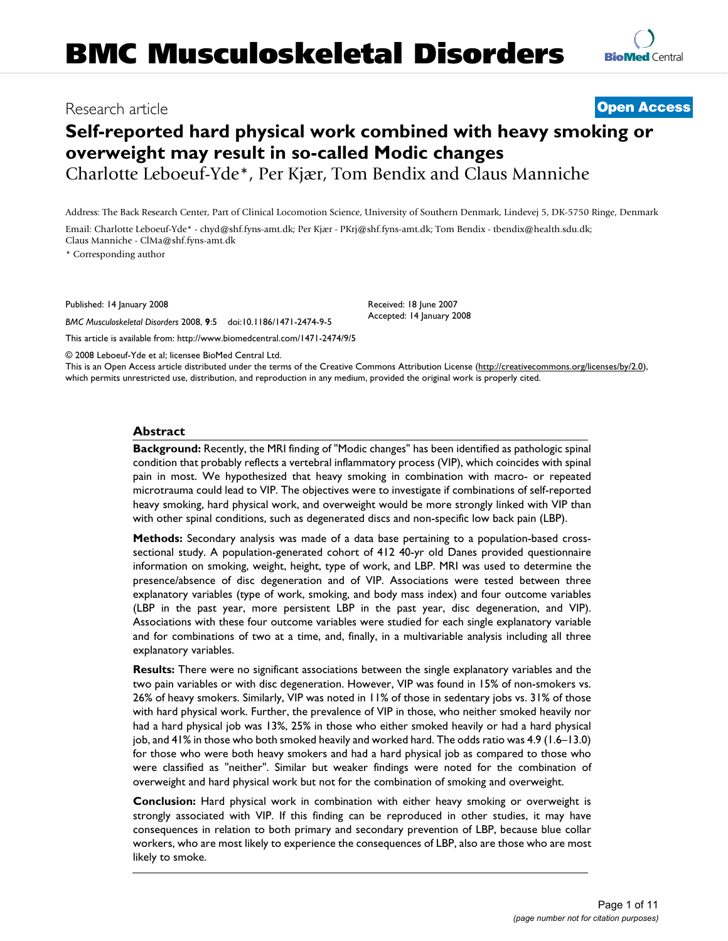# **Self-reported hard physical work combined with heavy smoking or overweight may result in so-called Modic changes**

Charlotte Leboeuf-Yde\*, Per Kjær, Tom Bendix and Claus Manniche

Address: The Back Research Center, Part of Clinical Locomotion Science, University of Southern Denmark, Lindevej 5, DK-5750 Ringe, Denmark

Email: Charlotte Leboeuf-Yde\* - chyd@shf.fyns-amt.dk; Per Kjær - PKrj@shf.fyns-amt.dk; Tom Bendix - tbendix@health.sdu.dk; Claus Manniche - ClMa@shf.fyns-amt.dk

\* Corresponding author

Published: 14 January 2008

*BMC Musculoskeletal Disorders* 2008, **9**:5 doi:10.1186/1471-2474-9-5

[This article is available from: http://www.biomedcentral.com/1471-2474/9/5](http://www.biomedcentral.com/1471-2474/9/5)

Received: 18 June 2007 Accepted: 14 January 2008

© 2008 Leboeuf-Yde et al; licensee BioMed Central Ltd.

This is an Open Access article distributed under the terms of the Creative Commons Attribution License [\(http://creativecommons.org/licenses/by/2.0\)](http://creativecommons.org/licenses/by/2.0), which permits unrestricted use, distribution, and reproduction in any medium, provided the original work is properly cited.

# **Abstract**

**Background:** Recently, the MRI finding of "Modic changes" has been identified as pathologic spinal condition that probably reflects a vertebral inflammatory process (VIP), which coincides with spinal pain in most. We hypothesized that heavy smoking in combination with macro- or repeated microtrauma could lead to VIP. The objectives were to investigate if combinations of self-reported heavy smoking, hard physical work, and overweight would be more strongly linked with VIP than with other spinal conditions, such as degenerated discs and non-specific low back pain (LBP).

**Methods:** Secondary analysis was made of a data base pertaining to a population-based crosssectional study. A population-generated cohort of 412 40-yr old Danes provided questionnaire information on smoking, weight, height, type of work, and LBP. MRI was used to determine the presence/absence of disc degeneration and of VIP. Associations were tested between three explanatory variables (type of work, smoking, and body mass index) and four outcome variables (LBP in the past year, more persistent LBP in the past year, disc degeneration, and VIP). Associations with these four outcome variables were studied for each single explanatory variable and for combinations of two at a time, and, finally, in a multivariable analysis including all three explanatory variables.

**Results:** There were no significant associations between the single explanatory variables and the two pain variables or with disc degeneration. However, VIP was found in 15% of non-smokers vs. 26% of heavy smokers. Similarly, VIP was noted in 11% of those in sedentary jobs vs. 31% of those with hard physical work. Further, the prevalence of VIP in those, who neither smoked heavily nor had a hard physical job was 13%, 25% in those who either smoked heavily or had a hard physical job, and 41% in those who both smoked heavily and worked hard. The odds ratio was 4.9 (1.6–13.0) for those who were both heavy smokers and had a hard physical job as compared to those who were classified as "neither". Similar but weaker findings were noted for the combination of overweight and hard physical work but not for the combination of smoking and overweight.

**Conclusion:** Hard physical work in combination with either heavy smoking or overweight is strongly associated with VIP. If this finding can be reproduced in other studies, it may have consequences in relation to both primary and secondary prevention of LBP, because blue collar workers, who are most likely to experience the consequences of LBP, also are those who are most likely to smoke.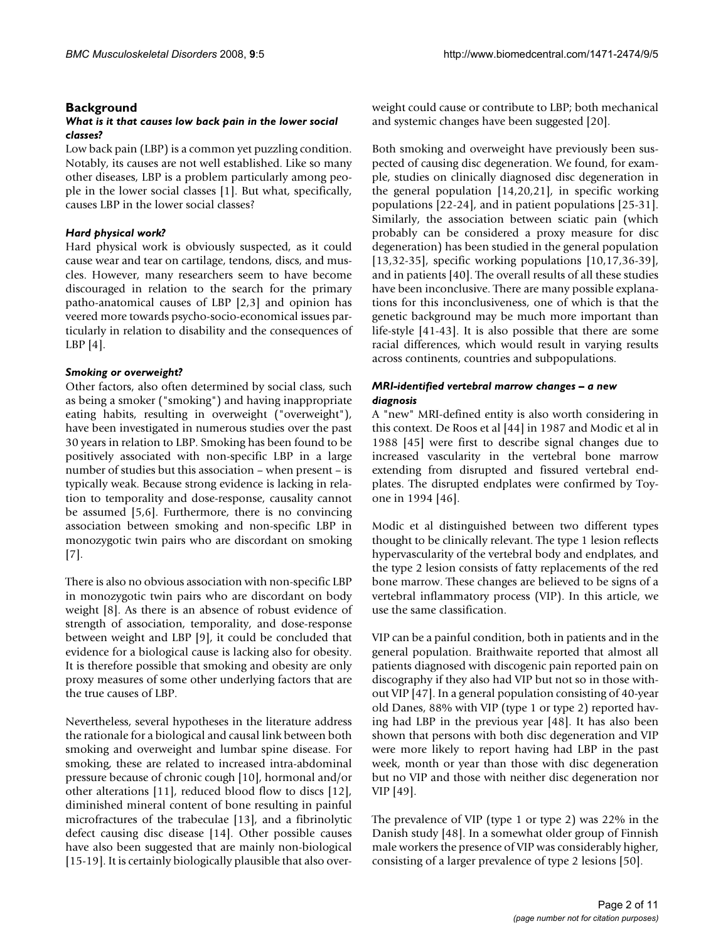# **Background**

## *What is it that causes low back pain in the lower social classes?*

Low back pain (LBP) is a common yet puzzling condition. Notably, its causes are not well established. Like so many other diseases, LBP is a problem particularly among people in the lower social classes [1]. But what, specifically, causes LBP in the lower social classes?

# *Hard physical work?*

Hard physical work is obviously suspected, as it could cause wear and tear on cartilage, tendons, discs, and muscles. However, many researchers seem to have become discouraged in relation to the search for the primary patho-anatomical causes of LBP [2,3] and opinion has veered more towards psycho-socio-economical issues particularly in relation to disability and the consequences of LBP [4].

# *Smoking or overweight?*

Other factors, also often determined by social class, such as being a smoker ("smoking") and having inappropriate eating habits, resulting in overweight ("overweight"), have been investigated in numerous studies over the past 30 years in relation to LBP. Smoking has been found to be positively associated with non-specific LBP in a large number of studies but this association – when present – is typically weak. Because strong evidence is lacking in relation to temporality and dose-response, causality cannot be assumed [5,6]. Furthermore, there is no convincing association between smoking and non-specific LBP in monozygotic twin pairs who are discordant on smoking [7].

There is also no obvious association with non-specific LBP in monozygotic twin pairs who are discordant on body weight [8]. As there is an absence of robust evidence of strength of association, temporality, and dose-response between weight and LBP [9], it could be concluded that evidence for a biological cause is lacking also for obesity. It is therefore possible that smoking and obesity are only proxy measures of some other underlying factors that are the true causes of LBP.

Nevertheless, several hypotheses in the literature address the rationale for a biological and causal link between both smoking and overweight and lumbar spine disease. For smoking, these are related to increased intra-abdominal pressure because of chronic cough [10], hormonal and/or other alterations [11], reduced blood flow to discs [12], diminished mineral content of bone resulting in painful microfractures of the trabeculae [13], and a fibrinolytic defect causing disc disease [14]. Other possible causes have also been suggested that are mainly non-biological [15-19]. It is certainly biologically plausible that also overweight could cause or contribute to LBP; both mechanical and systemic changes have been suggested [20].

Both smoking and overweight have previously been suspected of causing disc degeneration. We found, for example, studies on clinically diagnosed disc degeneration in the general population [14,20,21], in specific working populations [22-24], and in patient populations [25-31]. Similarly, the association between sciatic pain (which probably can be considered a proxy measure for disc degeneration) has been studied in the general population [13,32-35], specific working populations [10,17,36-39], and in patients [40]. The overall results of all these studies have been inconclusive. There are many possible explanations for this inconclusiveness, one of which is that the genetic background may be much more important than life-style [41-43]. It is also possible that there are some racial differences, which would result in varying results across continents, countries and subpopulations.

# *MRI-identified vertebral marrow changes – a new diagnosis*

A "new" MRI-defined entity is also worth considering in this context. De Roos et al [44] in 1987 and Modic et al in 1988 [45] were first to describe signal changes due to increased vascularity in the vertebral bone marrow extending from disrupted and fissured vertebral endplates. The disrupted endplates were confirmed by Toyone in 1994 [46].

Modic et al distinguished between two different types thought to be clinically relevant. The type 1 lesion reflects hypervascularity of the vertebral body and endplates, and the type 2 lesion consists of fatty replacements of the red bone marrow. These changes are believed to be signs of a vertebral inflammatory process (VIP). In this article, we use the same classification.

VIP can be a painful condition, both in patients and in the general population. Braithwaite reported that almost all patients diagnosed with discogenic pain reported pain on discography if they also had VIP but not so in those without VIP [47]. In a general population consisting of 40-year old Danes, 88% with VIP (type 1 or type 2) reported having had LBP in the previous year [48]. It has also been shown that persons with both disc degeneration and VIP were more likely to report having had LBP in the past week, month or year than those with disc degeneration but no VIP and those with neither disc degeneration nor VIP [49].

The prevalence of VIP (type 1 or type 2) was 22% in the Danish study [48]. In a somewhat older group of Finnish male workers the presence of VIP was considerably higher, consisting of a larger prevalence of type 2 lesions [50].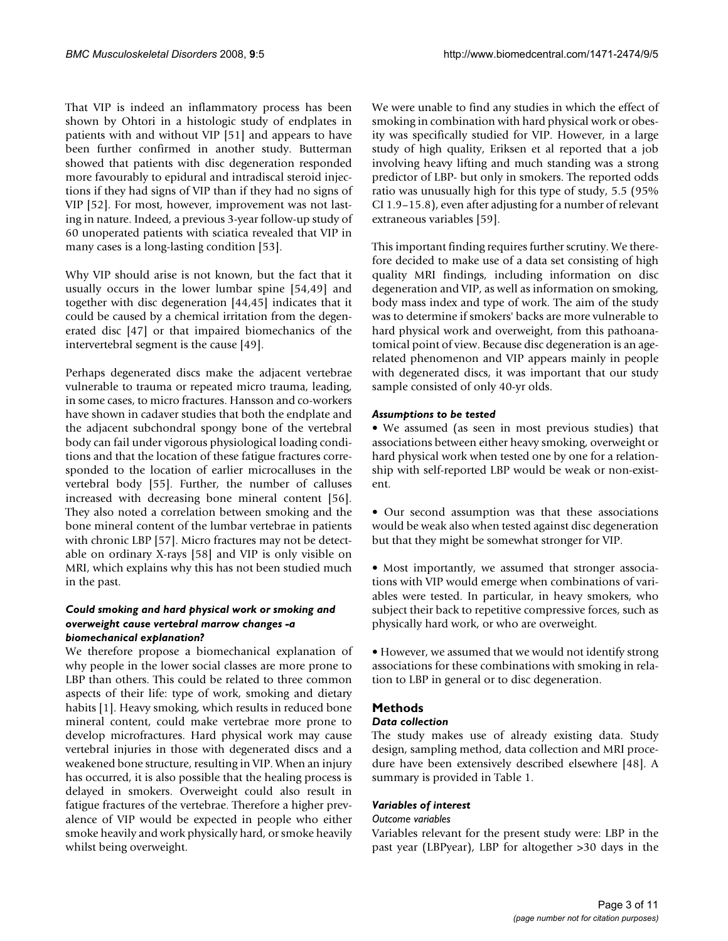That VIP is indeed an inflammatory process has been shown by Ohtori in a histologic study of endplates in patients with and without VIP [51] and appears to have been further confirmed in another study. Butterman showed that patients with disc degeneration responded more favourably to epidural and intradiscal steroid injections if they had signs of VIP than if they had no signs of VIP [52]. For most, however, improvement was not lasting in nature. Indeed, a previous 3-year follow-up study of 60 unoperated patients with sciatica revealed that VIP in many cases is a long-lasting condition [53].

Why VIP should arise is not known, but the fact that it usually occurs in the lower lumbar spine [54,49] and together with disc degeneration [44,45] indicates that it could be caused by a chemical irritation from the degenerated disc [47] or that impaired biomechanics of the intervertebral segment is the cause [49].

Perhaps degenerated discs make the adjacent vertebrae vulnerable to trauma or repeated micro trauma, leading, in some cases, to micro fractures. Hansson and co-workers have shown in cadaver studies that both the endplate and the adjacent subchondral spongy bone of the vertebral body can fail under vigorous physiological loading conditions and that the location of these fatigue fractures corresponded to the location of earlier microcalluses in the vertebral body [55]. Further, the number of calluses increased with decreasing bone mineral content [56]. They also noted a correlation between smoking and the bone mineral content of the lumbar vertebrae in patients with chronic LBP [57]. Micro fractures may not be detectable on ordinary X-rays [58] and VIP is only visible on MRI, which explains why this has not been studied much in the past.

# *Could smoking and hard physical work or smoking and overweight cause vertebral marrow changes -a biomechanical explanation?*

We therefore propose a biomechanical explanation of why people in the lower social classes are more prone to LBP than others. This could be related to three common aspects of their life: type of work, smoking and dietary habits [1]. Heavy smoking, which results in reduced bone mineral content, could make vertebrae more prone to develop microfractures. Hard physical work may cause vertebral injuries in those with degenerated discs and a weakened bone structure, resulting in VIP. When an injury has occurred, it is also possible that the healing process is delayed in smokers. Overweight could also result in fatigue fractures of the vertebrae. Therefore a higher prevalence of VIP would be expected in people who either smoke heavily and work physically hard, or smoke heavily whilst being overweight.

We were unable to find any studies in which the effect of smoking in combination with hard physical work or obesity was specifically studied for VIP. However, in a large study of high quality, Eriksen et al reported that a job involving heavy lifting and much standing was a strong predictor of LBP- but only in smokers. The reported odds ratio was unusually high for this type of study, 5.5 (95% CI 1.9–15.8), even after adjusting for a number of relevant extraneous variables [59].

This important finding requires further scrutiny. We therefore decided to make use of a data set consisting of high quality MRI findings, including information on disc degeneration and VIP, as well as information on smoking, body mass index and type of work. The aim of the study was to determine if smokers' backs are more vulnerable to hard physical work and overweight, from this pathoanatomical point of view. Because disc degeneration is an agerelated phenomenon and VIP appears mainly in people with degenerated discs, it was important that our study sample consisted of only 40-yr olds.

# *Assumptions to be tested*

• We assumed (as seen in most previous studies) that associations between either heavy smoking, overweight or hard physical work when tested one by one for a relationship with self-reported LBP would be weak or non-existent.

• Our second assumption was that these associations would be weak also when tested against disc degeneration but that they might be somewhat stronger for VIP.

• Most importantly, we assumed that stronger associations with VIP would emerge when combinations of variables were tested. In particular, in heavy smokers, who subject their back to repetitive compressive forces, such as physically hard work, or who are overweight.

• However, we assumed that we would not identify strong associations for these combinations with smoking in relation to LBP in general or to disc degeneration.

# **Methods**

# *Data collection*

The study makes use of already existing data. Study design, sampling method, data collection and MRI procedure have been extensively described elsewhere [48]. A summary is provided in Table 1.

# *Variables of interest*

# *Outcome variables*

Variables relevant for the present study were: LBP in the past year (LBPyear), LBP for altogether >30 days in the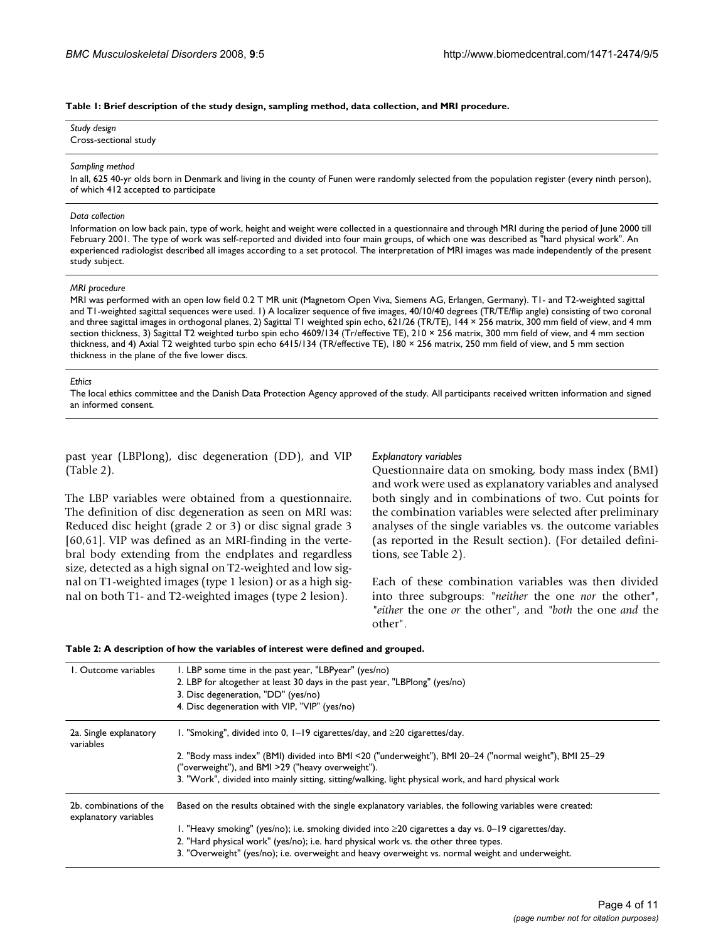#### **Table 1: Brief description of the study design, sampling method, data collection, and MRI procedure.**

*Study design* Cross-sectional study

#### *Sampling method*

In all, 625 40-yr olds born in Denmark and living in the county of Funen were randomly selected from the population register (every ninth person), of which 412 accepted to participate

#### *Data collection*

Information on low back pain, type of work, height and weight were collected in a questionnaire and through MRI during the period of June 2000 till February 2001. The type of work was self-reported and divided into four main groups, of which one was described as "hard physical work". An experienced radiologist described all images according to a set protocol. The interpretation of MRI images was made independently of the present study subject.

#### *MRI procedure*

MRI was performed with an open low field 0.2 T MR unit (Magnetom Open Viva, Siemens AG, Erlangen, Germany). T1- and T2-weighted sagittal and T1-weighted sagittal sequences were used. 1) A localizer sequence of five images, 40/10/40 degrees (TR/TE/flip angle) consisting of two coronal and three sagittal images in orthogonal planes, 2) Sagittal T1 weighted spin echo, 621/26 (TR/TE), 144 × 256 matrix, 300 mm field of view, and 4 mm section thickness, 3) Sagittal T2 weighted turbo spin echo 4609/134 (Tr/effective TE), 210 × 256 matrix, 300 mm field of view, and 4 mm section thickness, and 4) Axial T2 weighted turbo spin echo 6415/134 (TR/effective TE), 180 × 256 matrix, 250 mm field of view, and 5 mm section thickness in the plane of the five lower discs.

#### *Ethics*

The local ethics committee and the Danish Data Protection Agency approved of the study. All participants received written information and signed an informed consent.

past year (LBPlong), disc degeneration (DD), and VIP (Table 2).

The LBP variables were obtained from a questionnaire. The definition of disc degeneration as seen on MRI was: Reduced disc height (grade 2 or 3) or disc signal grade 3 [60,61]. VIP was defined as an MRI-finding in the vertebral body extending from the endplates and regardless size, detected as a high signal on T2-weighted and low signal on T1-weighted images (type 1 lesion) or as a high signal on both T1- and T2-weighted images (type 2 lesion).

#### *Explanatory variables*

Questionnaire data on smoking, body mass index (BMI) and work were used as explanatory variables and analysed both singly and in combinations of two. Cut points for the combination variables were selected after preliminary analyses of the single variables vs. the outcome variables (as reported in the Result section). (For detailed definitions, see Table 2).

Each of these combination variables was then divided into three subgroups: *"neither* the one *nor* the other", *"either* the one *or* the other", and *"both* the one *and* the other".

| I. Outcome variables                             | I. LBP some time in the past year, "LBPyear" (yes/no)<br>2. LBP for altogether at least 30 days in the past year, "LBPlong" (yes/no)<br>3. Disc degeneration, "DD" (yes/no)<br>4. Disc degeneration with VIP, "VIP" (yes/no) |
|--------------------------------------------------|------------------------------------------------------------------------------------------------------------------------------------------------------------------------------------------------------------------------------|
| 2a. Single explanatory<br>variables              | 1. "Smoking", divided into 0, $1-19$ cigarettes/day, and $\geq 20$ cigarettes/day.                                                                                                                                           |
|                                                  | 2. "Body mass index" (BMI) divided into BMI <20 ("underweight"), BMI 20-24 ("normal weight"), BMI 25-29<br>"overweight"), and BMI >29 ("heavy overweight").                                                                  |
|                                                  | 3. "Work", divided into mainly sitting, sitting/walking, light physical work, and hard physical work                                                                                                                         |
| 2b. combinations of the<br>explanatory variables | Based on the results obtained with the single explanatory variables, the following variables were created:                                                                                                                   |
|                                                  | 1. "Heavy smoking" (yes/no); i.e. smoking divided into $\geq$ 20 cigarettes a day vs. 0–19 cigarettes/day.<br>2. "Hard physical work" (yes/no); i.e. hard physical work vs. the other three types.                           |
|                                                  | 3. "Overweight" (yes/no); i.e. overweight and heavy overweight vs. normal weight and underweight.                                                                                                                            |

#### **Table 2: A description of how the variables of interest were defined and grouped.**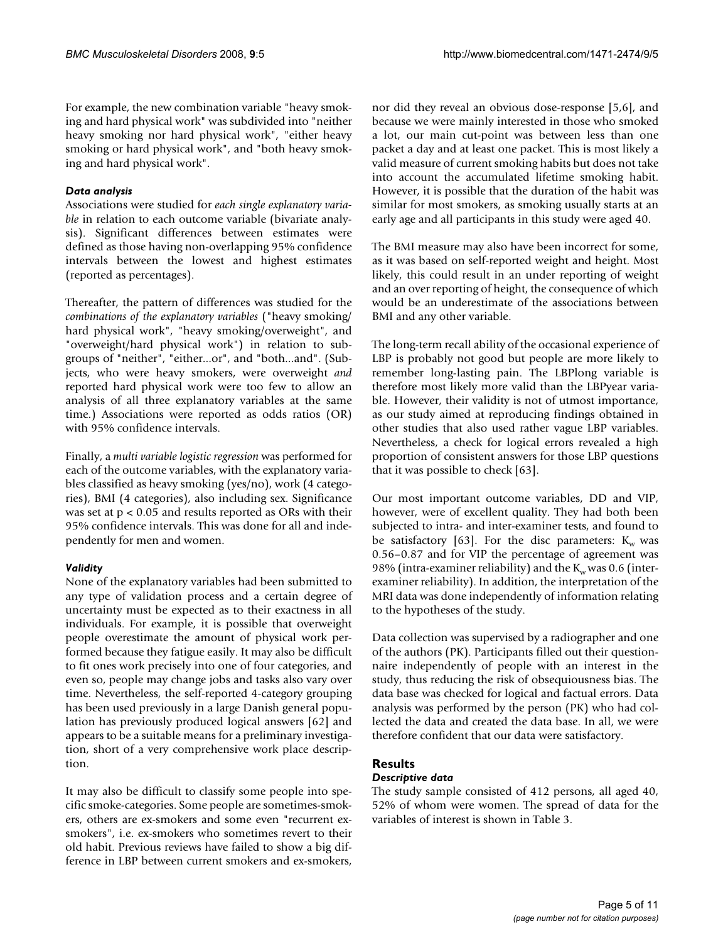For example, the new combination variable "heavy smoking and hard physical work" was subdivided into "neither heavy smoking nor hard physical work", "either heavy smoking or hard physical work", and "both heavy smoking and hard physical work".

# *Data analysis*

Associations were studied for *each single explanatory variable* in relation to each outcome variable (bivariate analysis). Significant differences between estimates were defined as those having non-overlapping 95% confidence intervals between the lowest and highest estimates (reported as percentages).

Thereafter, the pattern of differences was studied for the *combinations of the explanatory variables* ("heavy smoking/ hard physical work", "heavy smoking/overweight", and "overweight/hard physical work") in relation to subgroups of "neither", "either...or", and "both...and". (Subjects, who were heavy smokers, were overweight *and* reported hard physical work were too few to allow an analysis of all three explanatory variables at the same time.) Associations were reported as odds ratios (OR) with 95% confidence intervals.

Finally, a *multi variable logistic regression* was performed for each of the outcome variables, with the explanatory variables classified as heavy smoking (yes/no), work (4 categories), BMI (4 categories), also including sex. Significance was set at p < 0.05 and results reported as ORs with their 95% confidence intervals. This was done for all and independently for men and women.

# *Validity*

None of the explanatory variables had been submitted to any type of validation process and a certain degree of uncertainty must be expected as to their exactness in all individuals. For example, it is possible that overweight people overestimate the amount of physical work performed because they fatigue easily. It may also be difficult to fit ones work precisely into one of four categories, and even so, people may change jobs and tasks also vary over time. Nevertheless, the self-reported 4-category grouping has been used previously in a large Danish general population has previously produced logical answers [62] and appears to be a suitable means for a preliminary investigation, short of a very comprehensive work place description.

It may also be difficult to classify some people into specific smoke-categories. Some people are sometimes-smokers, others are ex-smokers and some even "recurrent exsmokers", i.e. ex-smokers who sometimes revert to their old habit. Previous reviews have failed to show a big difference in LBP between current smokers and ex-smokers,

nor did they reveal an obvious dose-response [5,6], and because we were mainly interested in those who smoked a lot, our main cut-point was between less than one packet a day and at least one packet. This is most likely a valid measure of current smoking habits but does not take into account the accumulated lifetime smoking habit. However, it is possible that the duration of the habit was similar for most smokers, as smoking usually starts at an early age and all participants in this study were aged 40.

The BMI measure may also have been incorrect for some, as it was based on self-reported weight and height. Most likely, this could result in an under reporting of weight and an over reporting of height, the consequence of which would be an underestimate of the associations between BMI and any other variable.

The long-term recall ability of the occasional experience of LBP is probably not good but people are more likely to remember long-lasting pain. The LBPlong variable is therefore most likely more valid than the LBPyear variable. However, their validity is not of utmost importance, as our study aimed at reproducing findings obtained in other studies that also used rather vague LBP variables. Nevertheless, a check for logical errors revealed a high proportion of consistent answers for those LBP questions that it was possible to check [63].

Our most important outcome variables, DD and VIP, however, were of excellent quality. They had both been subjected to intra- and inter-examiner tests, and found to be satisfactory [63]. For the disc parameters:  $K_w$  was 0.56–0.87 and for VIP the percentage of agreement was 98% (intra-examiner reliability) and the  $K_w$  was 0.6 (interexaminer reliability). In addition, the interpretation of the MRI data was done independently of information relating to the hypotheses of the study.

Data collection was supervised by a radiographer and one of the authors (PK). Participants filled out their questionnaire independently of people with an interest in the study, thus reducing the risk of obsequiousness bias. The data base was checked for logical and factual errors. Data analysis was performed by the person (PK) who had collected the data and created the data base. In all, we were therefore confident that our data were satisfactory.

## **Results** *Descriptive data*

The study sample consisted of 412 persons, all aged 40, 52% of whom were women. The spread of data for the variables of interest is shown in Table 3.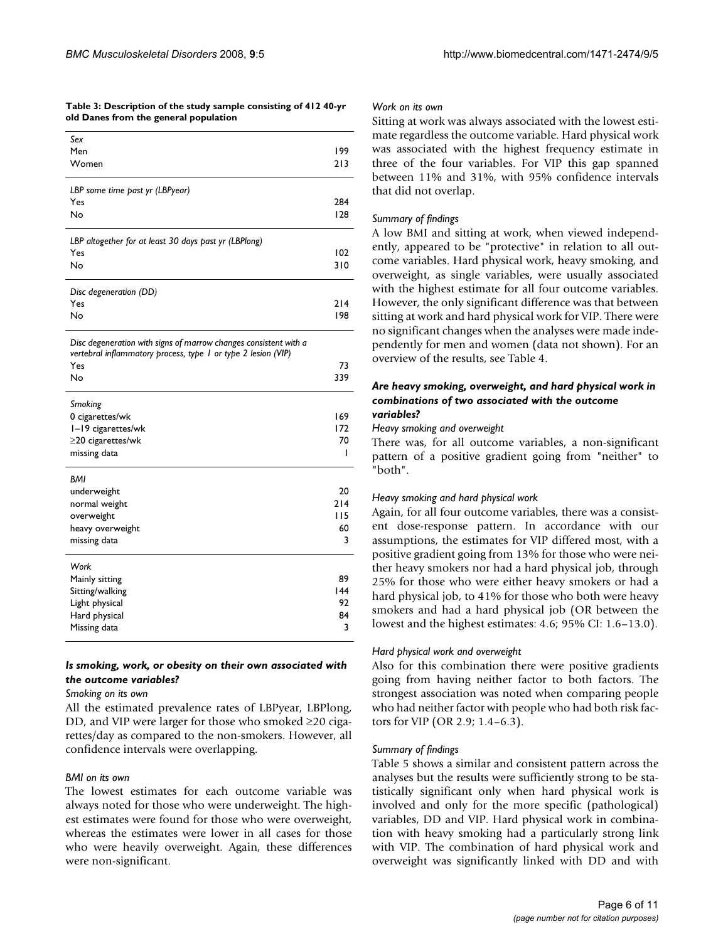#### **Table 3: Description of the study sample consisting of 412 40-yr old Danes from the general population**

| Sex                                                   |     |
|-------------------------------------------------------|-----|
| Men                                                   | 199 |
| Women                                                 | 213 |
| LBP some time past yr (LBPyear)                       |     |
| Yes                                                   | 284 |
| No                                                    | 128 |
| LBP altogether for at least 30 days past yr (LBPlong) |     |
| Yes                                                   | 102 |
| No                                                    | 310 |
| Disc degeneration (DD)                                |     |
| Yes                                                   | 214 |
| No                                                    | 198 |
|                                                       |     |

*Disc degeneration with signs of marrow changes consistent with a vertebral inflammatory process, type 1 or type 2 lesion (VIP)*

| Yes                     | 73  |
|-------------------------|-----|
| No                      | 339 |
| Smoking                 |     |
| 0 cigarettes/wk         | 169 |
| I-19 cigarettes/wk      | 172 |
| $\geq$ 20 cigarettes/wk | 70  |
| missing data            | ı   |
| <b>BMI</b>              |     |
| underweight             | 20  |
| normal weight           | 214 |
| overweight              | 115 |
| heavy overweight        | 60  |
| missing data            | 3   |
| Work                    |     |
| Mainly sitting          | 89  |
| Sitting/walking         | 144 |
| Light physical          | 92  |
| Hard physical           | 84  |
| Missing data            | 3   |

# *Is smoking, work, or obesity on their own associated with the outcome variables?*

#### *Smoking on its own*

All the estimated prevalence rates of LBPyear, LBPlong, DD, and VIP were larger for those who smoked ≥20 cigarettes/day as compared to the non-smokers. However, all confidence intervals were overlapping.

## *BMI on its own*

The lowest estimates for each outcome variable was always noted for those who were underweight. The highest estimates were found for those who were overweight, whereas the estimates were lower in all cases for those who were heavily overweight. Again, these differences were non-significant.

#### *Work on its own*

Sitting at work was always associated with the lowest estimate regardless the outcome variable. Hard physical work was associated with the highest frequency estimate in three of the four variables. For VIP this gap spanned between 11% and 31%, with 95% confidence intervals that did not overlap.

## *Summary of findings*

A low BMI and sitting at work, when viewed independently, appeared to be "protective" in relation to all outcome variables. Hard physical work, heavy smoking, and overweight, as single variables, were usually associated with the highest estimate for all four outcome variables. However, the only significant difference was that between sitting at work and hard physical work for VIP. There were no significant changes when the analyses were made independently for men and women (data not shown). For an overview of the results, see Table 4.

#### *Are heavy smoking, overweight, and hard physical work in combinations of two associated with the outcome variables?*

## *Heavy smoking and overweight*

There was, for all outcome variables, a non-significant pattern of a positive gradient going from "neither" to "both".

## *Heavy smoking and hard physical work*

Again, for all four outcome variables, there was a consistent dose-response pattern. In accordance with our assumptions, the estimates for VIP differed most, with a positive gradient going from 13% for those who were neither heavy smokers nor had a hard physical job, through 25% for those who were either heavy smokers or had a hard physical job, to 41% for those who both were heavy smokers and had a hard physical job (OR between the lowest and the highest estimates: 4.6; 95% CI: 1.6–13.0).

## *Hard physical work and overweight*

Also for this combination there were positive gradients going from having neither factor to both factors. The strongest association was noted when comparing people who had neither factor with people who had both risk factors for VIP (OR 2.9; 1.4–6.3).

#### *Summary of findings*

Table 5 shows a similar and consistent pattern across the analyses but the results were sufficiently strong to be statistically significant only when hard physical work is involved and only for the more specific (pathological) variables, DD and VIP. Hard physical work in combination with heavy smoking had a particularly strong link with VIP. The combination of hard physical work and overweight was significantly linked with DD and with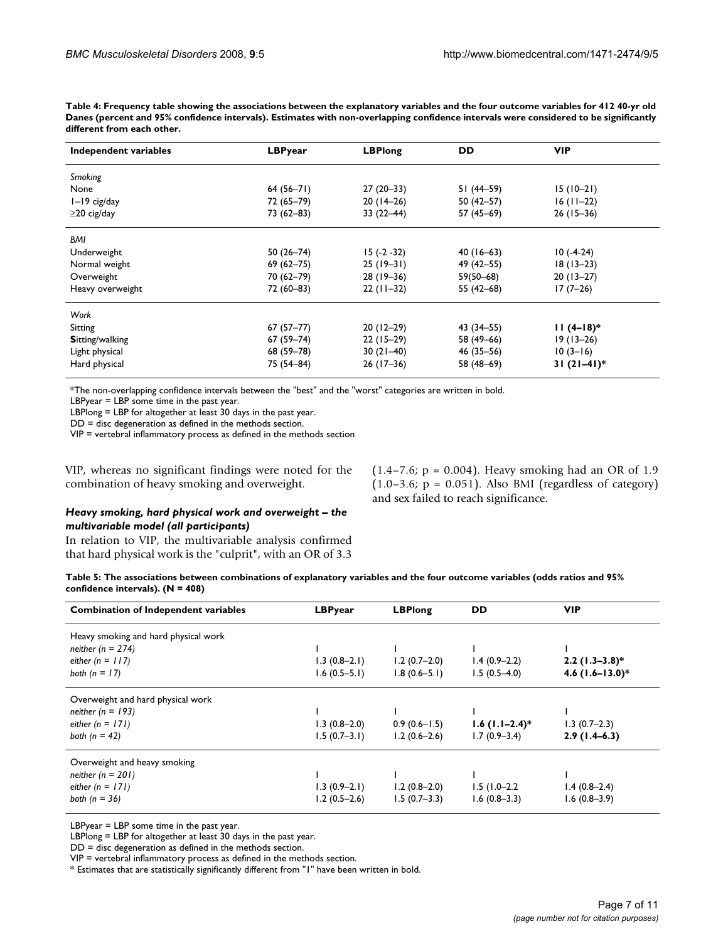$(1.4 - 7.6; p = 0.004)$ . Heavy smoking had an OR of 1.9  $(1.0-3.6; p = 0.051)$ . Also BMI (regardless of category)

and sex failed to reach significance.

**Table 4: Frequency table showing the associations between the explanatory variables and the four outcome variables for 412 40-yr old Danes (percent and 95% confidence intervals). Estimates with non-overlapping confidence intervals were considered to be significantly different from each other.**

| Independent variables  | <b>LBPyear</b> | <b>LBPlong</b> | <b>DD</b>     | <b>VIP</b>   |
|------------------------|----------------|----------------|---------------|--------------|
| Smoking                |                |                |               |              |
| None                   | $64(56-71)$    | $27(20-33)$    | 51 (44–59)    | $15(10-21)$  |
| I-19 cig/day           | 72 (65-79)     | $20(14-26)$    | $50(42 - 57)$ | $16(11-22)$  |
| $\geq$ 20 cig/day      | $73(62 - 83)$  | $33(22-44)$    | 57 (45-69)    | $26(15-36)$  |
| <b>BMI</b>             |                |                |               |              |
| Underweight            | $50(26 - 74)$  | $15(-2-32)$    | $40(16-63)$   | $10(-4-24)$  |
| Normal weight          | $69(62 - 75)$  | $25(19-31)$    | 49 (42–55)    | $18(13-23)$  |
| Overweight             | 70 (62–79)     | $28(19-36)$    | $59(50 - 68)$ | $20(13-27)$  |
| Heavy overweight       | 72 (60-83)     | $22(11-32)$    | 55 $(42-68)$  | $17(7-26)$   |
| Work                   |                |                |               |              |
| Sitting                | $67(57-77)$    | $20(12-29)$    | 43 (34–55)    | $11(4-18)$ * |
| <b>Sitting/walking</b> | $67(59 - 74)$  | $22(15-29)$    | 58 (49-66)    | $19(13-26)$  |
| Light physical         | 68 (59-78)     | $30(21-40)$    | $46(35-56)$   | $10(3-16)$   |
| Hard physical          | 75 (54-84)     | $26(17-36)$    | 58 (48-69)    | $31(21-41)*$ |

\*The non-overlapping confidence intervals between the "best" and the "worst" categories are written in bold.

LBPyear = LBP some time in the past year.

LBPlong = LBP for altogether at least 30 days in the past year.

DD = disc degeneration as defined in the methods section.

VIP = vertebral inflammatory process as defined in the methods section

VIP, whereas no significant findings were noted for the combination of heavy smoking and overweight.

# *Heavy smoking, hard physical work and overweight – the multivariable model (all participants)*

In relation to VIP, the multivariable analysis confirmed that hard physical work is the "culprit", with an OR of 3.3

| Table 5: The associations between combinations of explanatory variables and the four outcome variables (odds ratios and 95% |  |
|-----------------------------------------------------------------------------------------------------------------------------|--|
| confidence intervals). $(N = 408)$                                                                                          |  |

| LBPyear        | <b>LBPlong</b>   | <b>DD</b>        | <b>VIP</b>           |
|----------------|------------------|------------------|----------------------|
|                |                  |                  |                      |
|                |                  |                  |                      |
| $1.3(0.8-2.1)$ | $1.2(0.7-2.0)$   | $1.4(0.9-2.2)$   | $2.2$ (1.3–3.8)*     |
| $1.6(0.5-5.1)$ | $1.8(0.6 - 5.1)$ | $1.5(0.5-4.0)$   | 4.6 $(1.6 - 13.0)^*$ |
|                |                  |                  |                      |
|                |                  |                  |                      |
| $1.3(0.8-2.0)$ | $0.9(0.6-1.5)$   | $1.6$ (1.1–2.4)* | $1.3(0.7-2.3)$       |
| $1.5(0.7-3.1)$ | $1.2(0.6-2.6)$   | $1.7(0.9-3.4)$   | $2.9(1.4-6.3)$       |
|                |                  |                  |                      |
|                |                  |                  |                      |
| $1.3(0.9-2.1)$ | $1.2(0.8-2.0)$   | $1.5(1.0-2.2)$   | $1.4(0.8-2.4)$       |
| $1.2(0.5-2.6)$ | $1.5(0.7-3.3)$   | $1.6(0.8-3.3)$   | $1.6(0.8-3.9)$       |
|                |                  |                  |                      |

LBPyear = LBP some time in the past year.

LBPlong = LBP for altogether at least 30 days in the past year.

DD = disc degeneration as defined in the methods section.

VIP = vertebral inflammatory process as defined in the methods section.

\* Estimates that are statistically significantly different from "1" have been written in bold.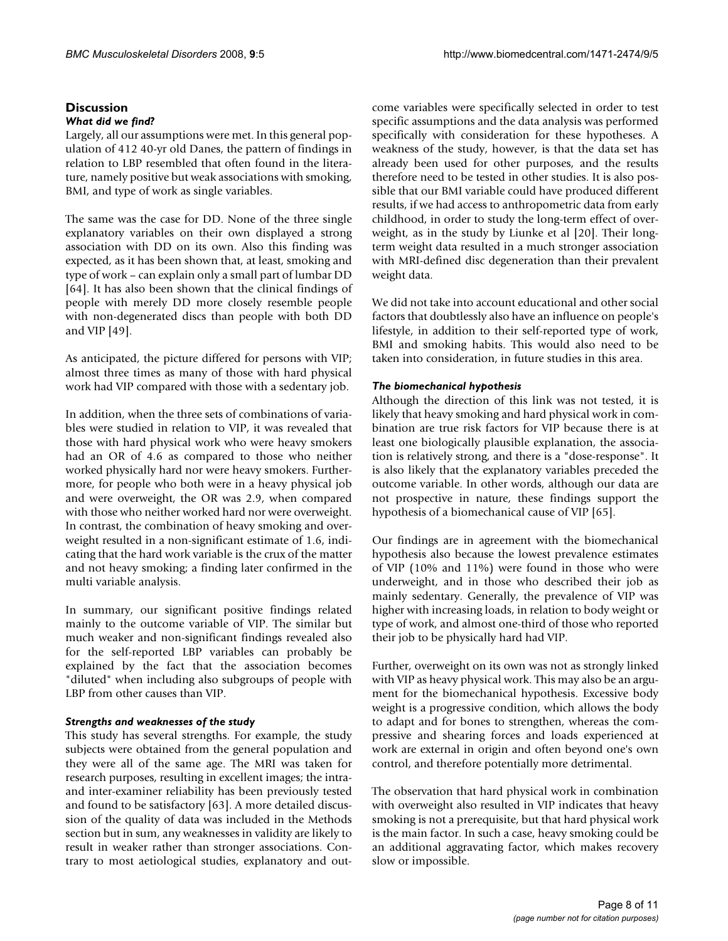# **Discussion**

# *What did we find?*

Largely, all our assumptions were met. In this general population of 412 40-yr old Danes, the pattern of findings in relation to LBP resembled that often found in the literature, namely positive but weak associations with smoking, BMI, and type of work as single variables.

The same was the case for DD. None of the three single explanatory variables on their own displayed a strong association with DD on its own. Also this finding was expected, as it has been shown that, at least, smoking and type of work – can explain only a small part of lumbar DD [64]. It has also been shown that the clinical findings of people with merely DD more closely resemble people with non-degenerated discs than people with both DD and VIP [49].

As anticipated, the picture differed for persons with VIP; almost three times as many of those with hard physical work had VIP compared with those with a sedentary job.

In addition, when the three sets of combinations of variables were studied in relation to VIP, it was revealed that those with hard physical work who were heavy smokers had an OR of 4.6 as compared to those who neither worked physically hard nor were heavy smokers. Furthermore, for people who both were in a heavy physical job and were overweight, the OR was 2.9, when compared with those who neither worked hard nor were overweight. In contrast, the combination of heavy smoking and overweight resulted in a non-significant estimate of 1.6, indicating that the hard work variable is the crux of the matter and not heavy smoking; a finding later confirmed in the multi variable analysis.

In summary, our significant positive findings related mainly to the outcome variable of VIP. The similar but much weaker and non-significant findings revealed also for the self-reported LBP variables can probably be explained by the fact that the association becomes "diluted" when including also subgroups of people with LBP from other causes than VIP.

# *Strengths and weaknesses of the study*

This study has several strengths. For example, the study subjects were obtained from the general population and they were all of the same age. The MRI was taken for research purposes, resulting in excellent images; the intraand inter-examiner reliability has been previously tested and found to be satisfactory [63]. A more detailed discussion of the quality of data was included in the Methods section but in sum, any weaknesses in validity are likely to result in weaker rather than stronger associations. Contrary to most aetiological studies, explanatory and outcome variables were specifically selected in order to test specific assumptions and the data analysis was performed specifically with consideration for these hypotheses. A weakness of the study, however, is that the data set has already been used for other purposes, and the results therefore need to be tested in other studies. It is also possible that our BMI variable could have produced different results, if we had access to anthropometric data from early childhood, in order to study the long-term effect of overweight, as in the study by Liunke et al [20]. Their longterm weight data resulted in a much stronger association with MRI-defined disc degeneration than their prevalent weight data.

We did not take into account educational and other social factors that doubtlessly also have an influence on people's lifestyle, in addition to their self-reported type of work, BMI and smoking habits. This would also need to be taken into consideration, in future studies in this area.

# *The biomechanical hypothesis*

Although the direction of this link was not tested, it is likely that heavy smoking and hard physical work in combination are true risk factors for VIP because there is at least one biologically plausible explanation, the association is relatively strong, and there is a "dose-response". It is also likely that the explanatory variables preceded the outcome variable. In other words, although our data are not prospective in nature, these findings support the hypothesis of a biomechanical cause of VIP [65].

Our findings are in agreement with the biomechanical hypothesis also because the lowest prevalence estimates of VIP (10% and 11%) were found in those who were underweight, and in those who described their job as mainly sedentary. Generally, the prevalence of VIP was higher with increasing loads, in relation to body weight or type of work, and almost one-third of those who reported their job to be physically hard had VIP.

Further, overweight on its own was not as strongly linked with VIP as heavy physical work. This may also be an argument for the biomechanical hypothesis. Excessive body weight is a progressive condition, which allows the body to adapt and for bones to strengthen, whereas the compressive and shearing forces and loads experienced at work are external in origin and often beyond one's own control, and therefore potentially more detrimental.

The observation that hard physical work in combination with overweight also resulted in VIP indicates that heavy smoking is not a prerequisite, but that hard physical work is the main factor. In such a case, heavy smoking could be an additional aggravating factor, which makes recovery slow or impossible.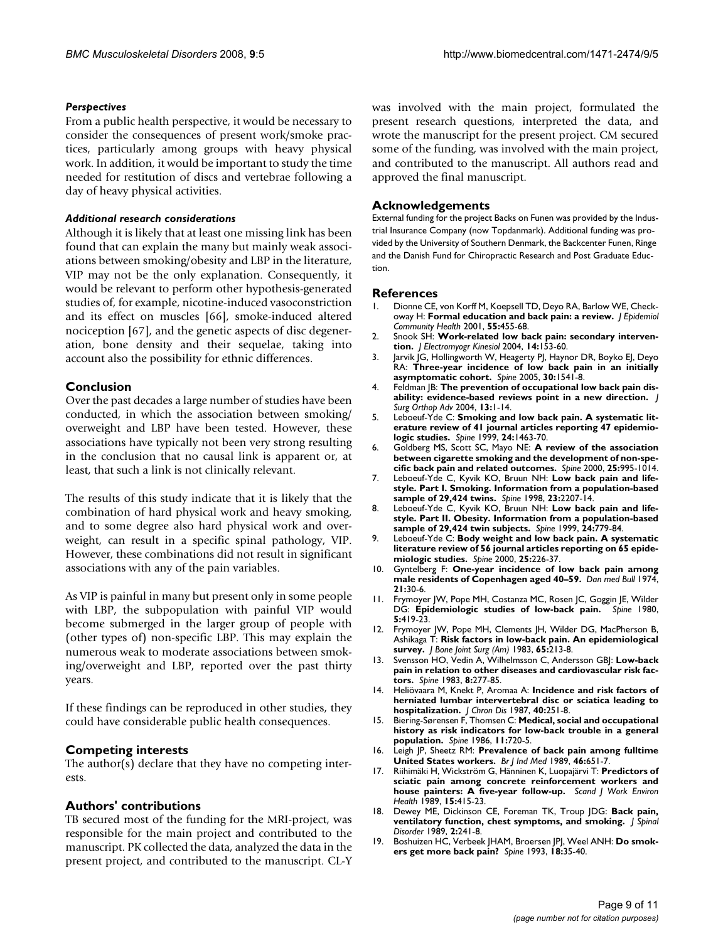#### *Perspectives*

From a public health perspective, it would be necessary to consider the consequences of present work/smoke practices, particularly among groups with heavy physical work. In addition, it would be important to study the time needed for restitution of discs and vertebrae following a day of heavy physical activities.

#### *Additional research considerations*

Although it is likely that at least one missing link has been found that can explain the many but mainly weak associations between smoking/obesity and LBP in the literature, VIP may not be the only explanation. Consequently, it would be relevant to perform other hypothesis-generated studies of, for example, nicotine-induced vasoconstriction and its effect on muscles [66], smoke-induced altered nociception [67], and the genetic aspects of disc degeneration, bone density and their sequelae, taking into account also the possibility for ethnic differences.

#### **Conclusion**

Over the past decades a large number of studies have been conducted, in which the association between smoking/ overweight and LBP have been tested. However, these associations have typically not been very strong resulting in the conclusion that no causal link is apparent or, at least, that such a link is not clinically relevant.

The results of this study indicate that it is likely that the combination of hard physical work and heavy smoking, and to some degree also hard physical work and overweight, can result in a specific spinal pathology, VIP. However, these combinations did not result in significant associations with any of the pain variables.

As VIP is painful in many but present only in some people with LBP, the subpopulation with painful VIP would become submerged in the larger group of people with (other types of) non-specific LBP. This may explain the numerous weak to moderate associations between smoking/overweight and LBP, reported over the past thirty years.

If these findings can be reproduced in other studies, they could have considerable public health consequences.

#### **Competing interests**

The author(s) declare that they have no competing interests.

#### **Authors' contributions**

TB secured most of the funding for the MRI-project, was responsible for the main project and contributed to the manuscript. PK collected the data, analyzed the data in the present project, and contributed to the manuscript. CL-Y was involved with the main project, formulated the present research questions, interpreted the data, and wrote the manuscript for the present project. CM secured some of the funding, was involved with the main project, and contributed to the manuscript. All authors read and approved the final manuscript.

### **Acknowledgements**

External funding for the project Backs on Funen was provided by the Industrial Insurance Company (now Topdanmark). Additional funding was provided by the University of Southern Denmark, the Backcenter Funen, Ringe and the Danish Fund for Chiropractic Research and Post Graduate Eduction.

#### **References**

- 1. Dionne CE, von Korff M, Koepsell TD, Deyo RA, Barlow WE, Checkoway H: **[Formal education and back pain: a review.](http://www.ncbi.nlm.nih.gov/entrez/query.fcgi?cmd=Retrieve&db=PubMed&dopt=Abstract&list_uids=11413174)** *J Epidemiol Community Health* 2001, **55:**455-68.
- 2. Snook SH: **[Work-related low back pain: secondary interven](http://www.ncbi.nlm.nih.gov/entrez/query.fcgi?cmd=Retrieve&db=PubMed&dopt=Abstract&list_uids=14759760)[tion.](http://www.ncbi.nlm.nih.gov/entrez/query.fcgi?cmd=Retrieve&db=PubMed&dopt=Abstract&list_uids=14759760)** *J Electromyogr Kinesiol* 2004, **14:**153-60.
- 3. Jarvik JG, Hollingworth W, Heagerty PJ, Haynor DR, Boyko EJ, Deyo RA: **[Three-year incidence of low back pain in an initially](http://www.ncbi.nlm.nih.gov/entrez/query.fcgi?cmd=Retrieve&db=PubMed&dopt=Abstract&list_uids=15990670) [asymptomatic cohort.](http://www.ncbi.nlm.nih.gov/entrez/query.fcgi?cmd=Retrieve&db=PubMed&dopt=Abstract&list_uids=15990670)** *Spine* 2005, **30:**1541-8.
- 4. Feldman JB: **[The prevention of occupational low back pain dis](http://www.ncbi.nlm.nih.gov/entrez/query.fcgi?cmd=Retrieve&db=PubMed&dopt=Abstract&list_uids=15055489)[ability: evidence-based reviews point in a new direction.](http://www.ncbi.nlm.nih.gov/entrez/query.fcgi?cmd=Retrieve&db=PubMed&dopt=Abstract&list_uids=15055489)** *J Surg Orthop Adv* 2004, **13:**1-14.
- 5. Leboeuf-Yde C: **[Smoking and low back pain. A systematic lit](http://www.ncbi.nlm.nih.gov/entrez/query.fcgi?cmd=Retrieve&db=PubMed&dopt=Abstract&list_uids=10423792)[erature review of 41 journal articles reporting 47 epidemio](http://www.ncbi.nlm.nih.gov/entrez/query.fcgi?cmd=Retrieve&db=PubMed&dopt=Abstract&list_uids=10423792)[logic studies.](http://www.ncbi.nlm.nih.gov/entrez/query.fcgi?cmd=Retrieve&db=PubMed&dopt=Abstract&list_uids=10423792)** *Spine* 1999, **24:**1463-70.
- 6. Goldberg MS, Scott SC, Mayo NE: **[A review of the association](http://www.ncbi.nlm.nih.gov/entrez/query.fcgi?cmd=Retrieve&db=PubMed&dopt=Abstract&list_uids=10767814) [between cigarette smoking and the development of non-spe](http://www.ncbi.nlm.nih.gov/entrez/query.fcgi?cmd=Retrieve&db=PubMed&dopt=Abstract&list_uids=10767814)[cific back pain and related outcomes.](http://www.ncbi.nlm.nih.gov/entrez/query.fcgi?cmd=Retrieve&db=PubMed&dopt=Abstract&list_uids=10767814)** *Spine* 2000, **25:**995-1014.
- 7. Leboeuf-Yde C, Kyvik KO, Bruun NH: **[Low back pain and life](http://www.ncbi.nlm.nih.gov/entrez/query.fcgi?cmd=Retrieve&db=PubMed&dopt=Abstract&list_uids=9802163)[style. Part I. Smoking. Information from a population-based](http://www.ncbi.nlm.nih.gov/entrez/query.fcgi?cmd=Retrieve&db=PubMed&dopt=Abstract&list_uids=9802163) [sample of 29,424 twins.](http://www.ncbi.nlm.nih.gov/entrez/query.fcgi?cmd=Retrieve&db=PubMed&dopt=Abstract&list_uids=9802163)** *Spine* 1998, **23:**2207-14.
- 8. Leboeuf-Yde C, Kyvik KO, Bruun NH: **[Low back pain and life](http://www.ncbi.nlm.nih.gov/entrez/query.fcgi?cmd=Retrieve&db=PubMed&dopt=Abstract&list_uids=10222529)[style. Part II. Obesity. Information from a population-based](http://www.ncbi.nlm.nih.gov/entrez/query.fcgi?cmd=Retrieve&db=PubMed&dopt=Abstract&list_uids=10222529) [sample of 29,424 twin subjects.](http://www.ncbi.nlm.nih.gov/entrez/query.fcgi?cmd=Retrieve&db=PubMed&dopt=Abstract&list_uids=10222529)** *Spine* 1999, **24:**779-84.
- 9. Leboeuf-Yde C: **[Body weight and low back pain. A systematic](http://www.ncbi.nlm.nih.gov/entrez/query.fcgi?cmd=Retrieve&db=PubMed&dopt=Abstract&list_uids=10685488) [literature review of 56 journal articles reporting on 65 epide](http://www.ncbi.nlm.nih.gov/entrez/query.fcgi?cmd=Retrieve&db=PubMed&dopt=Abstract&list_uids=10685488)[miologic studies.](http://www.ncbi.nlm.nih.gov/entrez/query.fcgi?cmd=Retrieve&db=PubMed&dopt=Abstract&list_uids=10685488)** *Spine* 2000, **25:**226-37.
- 10. Gyntelberg F: **[One-year incidence of low back pain among](http://www.ncbi.nlm.nih.gov/entrez/query.fcgi?cmd=Retrieve&db=PubMed&dopt=Abstract&list_uids=4275227) [male residents of Copenhagen aged 40–59.](http://www.ncbi.nlm.nih.gov/entrez/query.fcgi?cmd=Retrieve&db=PubMed&dopt=Abstract&list_uids=4275227)** *Dan med Bull* 1974, **21:**30-6.
- 11. Frymoyer JW, Pope MH, Costanza MC, Rosen JC, Goggin JE, Wilder DG: **[Epidemiologic studies of low-back pain.](http://www.ncbi.nlm.nih.gov/entrez/query.fcgi?cmd=Retrieve&db=PubMed&dopt=Abstract&list_uids=6450452)** *Spine* 1980, **5:**419-23.
- 12. Frymoyer JW, Pope MH, Clements JH, Wilder DG, MacPherson B, Ashikaga T: **[Risk factors in low-back pain. An epidemiological](http://www.ncbi.nlm.nih.gov/entrez/query.fcgi?cmd=Retrieve&db=PubMed&dopt=Abstract&list_uids=6218171) [survey.](http://www.ncbi.nlm.nih.gov/entrez/query.fcgi?cmd=Retrieve&db=PubMed&dopt=Abstract&list_uids=6218171)** *J Bone Joint Surg (Am)* 1983, **65:**213-8.
- 13. Svensson HO, Vedin A, Wilhelmsson C, Andersson GBJ: **[Low-back](http://www.ncbi.nlm.nih.gov/entrez/query.fcgi?cmd=Retrieve&db=PubMed&dopt=Abstract&list_uids=6226118) [pain in relation to other diseases and cardiovascular risk fac](http://www.ncbi.nlm.nih.gov/entrez/query.fcgi?cmd=Retrieve&db=PubMed&dopt=Abstract&list_uids=6226118)[tors.](http://www.ncbi.nlm.nih.gov/entrez/query.fcgi?cmd=Retrieve&db=PubMed&dopt=Abstract&list_uids=6226118)** *Spine* 1983, **8:**277-85.
- 14. Heliövaara M, Knekt P, Aromaa A: **[Incidence and risk factors of](http://www.ncbi.nlm.nih.gov/entrez/query.fcgi?cmd=Retrieve&db=PubMed&dopt=Abstract&list_uids=3818881) [herniated lumbar intervertebral disc or sciatica leading to](http://www.ncbi.nlm.nih.gov/entrez/query.fcgi?cmd=Retrieve&db=PubMed&dopt=Abstract&list_uids=3818881) [hospitalization.](http://www.ncbi.nlm.nih.gov/entrez/query.fcgi?cmd=Retrieve&db=PubMed&dopt=Abstract&list_uids=3818881)** *J Chron Dis* 1987, **40:**251-8.
- 15. Biering-Sørensen F, Thomsen C: **[Medical, social and occupational](http://www.ncbi.nlm.nih.gov/entrez/query.fcgi?cmd=Retrieve&db=PubMed&dopt=Abstract&list_uids=2947336) [history as risk indicators for low-back trouble in a general](http://www.ncbi.nlm.nih.gov/entrez/query.fcgi?cmd=Retrieve&db=PubMed&dopt=Abstract&list_uids=2947336) [population.](http://www.ncbi.nlm.nih.gov/entrez/query.fcgi?cmd=Retrieve&db=PubMed&dopt=Abstract&list_uids=2947336)** *Spine* 1986, **11:**720-5.
- 16. Leigh JP, Sheetz RM: **[Prevalence of back pain among fulltime](http://www.ncbi.nlm.nih.gov/entrez/query.fcgi?cmd=Retrieve&db=PubMed&dopt=Abstract&list_uids=2528986) [United States workers.](http://www.ncbi.nlm.nih.gov/entrez/query.fcgi?cmd=Retrieve&db=PubMed&dopt=Abstract&list_uids=2528986)** *Br J Ind Med* 1989, **46:**651-7.
- 17. Riihimäki H, Wickström G, Hänninen K, Luopajärvi T: **[Predictors of](http://www.ncbi.nlm.nih.gov/entrez/query.fcgi?cmd=Retrieve&db=PubMed&dopt=Abstract&list_uids=2533392) [sciatic pain among concrete reinforcement workers and](http://www.ncbi.nlm.nih.gov/entrez/query.fcgi?cmd=Retrieve&db=PubMed&dopt=Abstract&list_uids=2533392) [house painters: A five-year follow-up.](http://www.ncbi.nlm.nih.gov/entrez/query.fcgi?cmd=Retrieve&db=PubMed&dopt=Abstract&list_uids=2533392)** *Scand J Work Environ Health* 1989, **15:**415-23.
- 18. Dewey ME, Dickinson CE, Foreman TK, Troup JDG: **Back pain, ventilatory function, chest symptoms, and smoking.** *J Spinal Disorder* 1989, **2:**241-8.
- 19. Boshuizen HC, Verbeek JHAM, Broersen JPJ, Weel ANH: **[Do smok](http://www.ncbi.nlm.nih.gov/entrez/query.fcgi?cmd=Retrieve&db=PubMed&dopt=Abstract&list_uids=8434323)[ers get more back pain?](http://www.ncbi.nlm.nih.gov/entrez/query.fcgi?cmd=Retrieve&db=PubMed&dopt=Abstract&list_uids=8434323)** *Spine* 1993, **18:**35-40.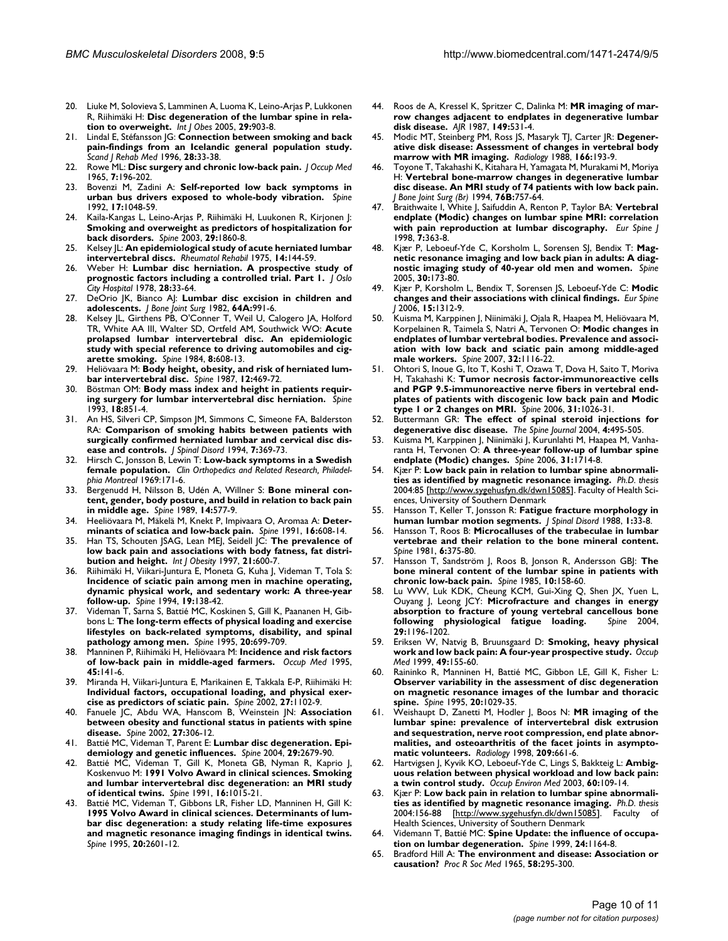- 20. Liuke M, Solovieva S, Lamminen A, Luoma K, Leino-Arjas P, Lukkonen R, Riihimäki H: **Disc degeneration of the lumbar spine in relation to overweight.** *Int J Obes* 2005, **29:**903-8.
- 21. Lindal E, Stéfansson JG: **Connection between smoking and back pain-findings from an Icelandic general population study.** *Scand J Rehab Med* 1996, **28:**33-38.
- 22. Rowe ML: **[Disc surgery and chronic low-back pain.](http://www.ncbi.nlm.nih.gov/entrez/query.fcgi?cmd=Retrieve&db=PubMed&dopt=Abstract&list_uids=14281389)** *J Occup Med* 1965, **7:**196-202.
- 23. Bovenzi M, Zadini A: **[Self-reported low back symptoms in](http://www.ncbi.nlm.nih.gov/entrez/query.fcgi?cmd=Retrieve&db=PubMed&dopt=Abstract&list_uids=1411756) [urban bus drivers exposed to whole-body vibration.](http://www.ncbi.nlm.nih.gov/entrez/query.fcgi?cmd=Retrieve&db=PubMed&dopt=Abstract&list_uids=1411756)** *Spine* 1992, **17:**1048-59.
- 24. Kaila-Kangas L, Leino-Arjas P, Riihimäki H, Luukonen R, Kirjonen J: **Smoking and overweight as predictors of hospitalization for back disorders.** *Spine* 2003, **29:**1860-8.
- 25. Kelsey JL: **[An epidemiological study of acute herniated lumbar](http://www.ncbi.nlm.nih.gov/entrez/query.fcgi?cmd=Retrieve&db=PubMed&dopt=Abstract&list_uids=1162235) [intervertebral discs.](http://www.ncbi.nlm.nih.gov/entrez/query.fcgi?cmd=Retrieve&db=PubMed&dopt=Abstract&list_uids=1162235)** *Rheumatol Rehabil* 1975, **14:**144-59.
- 26. Weber H: **Lumbar disc herniation. A prospective study of prognostic factors including a controlled trial. Part 1.** *J Oslo City Hospital* 1978, **28:**33-64.
- 27. DeOrio JK, Bianco AJ: **Lumbar disc excision in children and adolescents.** *J Bone Joint Surg* 1982, **64A:**991-6.
- 28. Kelsey JL, Girthens PB, O'Conner T, Weil U, Calogero JA, Holford TR, White AA III, Walter SD, Ortfeld AM, Southwick WO: **Acute prolapsed lumbar intervertebral disc. An epidemiologic study with special reference to driving automobiles and cigarette smoking.** *Spine* 1984, **8:**608-13.
- Heliövaara M: [Body height, obesity, and risk of herniated lum](http://www.ncbi.nlm.nih.gov/entrez/query.fcgi?cmd=Retrieve&db=PubMed&dopt=Abstract&list_uids=3629398)**[bar intervertebral disc.](http://www.ncbi.nlm.nih.gov/entrez/query.fcgi?cmd=Retrieve&db=PubMed&dopt=Abstract&list_uids=3629398)** *Spine* 1987, **12:**469-72.
- 30. Böstman OM: **[Body mass index and height in patients requir](http://www.ncbi.nlm.nih.gov/entrez/query.fcgi?cmd=Retrieve&db=PubMed&dopt=Abstract&list_uids=8316883)[ing surgery for lumbar intervertebral disc herniation.](http://www.ncbi.nlm.nih.gov/entrez/query.fcgi?cmd=Retrieve&db=PubMed&dopt=Abstract&list_uids=8316883)** *Spine* 1993, **18:**851-4.
- 31. An HS, Silveri CP, Simpson JM, Simmons C, Simeone FA, Balderston RA: **[Comparison of smoking habits between patients with](http://www.ncbi.nlm.nih.gov/entrez/query.fcgi?cmd=Retrieve&db=PubMed&dopt=Abstract&list_uids=7819635) [surgically confirmed herniated lumbar and cervical disc dis](http://www.ncbi.nlm.nih.gov/entrez/query.fcgi?cmd=Retrieve&db=PubMed&dopt=Abstract&list_uids=7819635)[ease and controls.](http://www.ncbi.nlm.nih.gov/entrez/query.fcgi?cmd=Retrieve&db=PubMed&dopt=Abstract&list_uids=7819635)** *J Spinal Disord* 1994, **7:**369-73.
- 32. Hirsch C, Jonsson B, Lewin T: **Low-back symptoms in a Swedish female population.** *Clin Orthopedics and Related Research, Philadelphia Montreal* 1969:171-6.
- 33. Bergenudd H, Nilsson B, Udén A, Willner S: **[Bone mineral con](http://www.ncbi.nlm.nih.gov/entrez/query.fcgi?cmd=Retrieve&db=PubMed&dopt=Abstract&list_uids=2526375)[tent, gender, body posture, and build in relation to back pain](http://www.ncbi.nlm.nih.gov/entrez/query.fcgi?cmd=Retrieve&db=PubMed&dopt=Abstract&list_uids=2526375) [in middle age.](http://www.ncbi.nlm.nih.gov/entrez/query.fcgi?cmd=Retrieve&db=PubMed&dopt=Abstract&list_uids=2526375)** *Spine* 1989, **14:**577-9.
- 34. Heeliövaara M, Mäkelä M, Knekt P, Impivaara O, Aromaa A: **[Deter](http://www.ncbi.nlm.nih.gov/entrez/query.fcgi?cmd=Retrieve&db=PubMed&dopt=Abstract&list_uids=1830689)[minants of sciatica and low-back pain.](http://www.ncbi.nlm.nih.gov/entrez/query.fcgi?cmd=Retrieve&db=PubMed&dopt=Abstract&list_uids=1830689)** *Spine* 1991, **16:**608-14.
- 35. Han TS, Schouten JSAG, Lean MEJ, Seidell JC: **The prevalence of low back pain and associations with body fatness, fat distribution and height.** *Int J Obesity* 1997, **21:**600-7.
- 36. Riihimäki H, Viikari-Juntura E, Moneta G, Kuha J, Videman T, Tola S: **[Incidence of sciatic pain among men in machine operating,](http://www.ncbi.nlm.nih.gov/entrez/query.fcgi?cmd=Retrieve&db=PubMed&dopt=Abstract&list_uids=8153819) dynamic physical work, and sedentary work: A three-year [follow-up.](http://www.ncbi.nlm.nih.gov/entrez/query.fcgi?cmd=Retrieve&db=PubMed&dopt=Abstract&list_uids=8153819)** *Spine* 1994, **19:**138-42.
- 37. Videman T, Sarna S, Battié MC, Koskinen S, Gill K, Paananen H, Gibbons L: **[The long-term effects of physical loading and exercise](http://www.ncbi.nlm.nih.gov/entrez/query.fcgi?cmd=Retrieve&db=PubMed&dopt=Abstract&list_uids=7604346) [lifestyles on back-related symptoms, disability, and spinal](http://www.ncbi.nlm.nih.gov/entrez/query.fcgi?cmd=Retrieve&db=PubMed&dopt=Abstract&list_uids=7604346) [pathology among men.](http://www.ncbi.nlm.nih.gov/entrez/query.fcgi?cmd=Retrieve&db=PubMed&dopt=Abstract&list_uids=7604346)** *Spine* 1995, **20:**699-709.
- 38. Manninen P, Riihimäki H, Heliövaara M: **Incidence and risk factors of low-back pain in middle-aged farmers.** *Occup Med* 1995, **45:**141-6.
- 39. Miranda H, Viikari-Juntura E, Marikainen E, Takkala E-P, Riihimäki H: **[Individual factors, occupational loading, and physical exer](http://www.ncbi.nlm.nih.gov/entrez/query.fcgi?cmd=Retrieve&db=PubMed&dopt=Abstract&list_uids=12004179)[cise as predictors of sciatic pain.](http://www.ncbi.nlm.nih.gov/entrez/query.fcgi?cmd=Retrieve&db=PubMed&dopt=Abstract&list_uids=12004179)** *Spine* 2002, **27:**1102-9.
- 40. Fanuele JC, Abdu WA, Hanscom B, Weinstein JN: **[Association](http://www.ncbi.nlm.nih.gov/entrez/query.fcgi?cmd=Retrieve&db=PubMed&dopt=Abstract&list_uids=11805697) [between obesity and functional status in patients with spine](http://www.ncbi.nlm.nih.gov/entrez/query.fcgi?cmd=Retrieve&db=PubMed&dopt=Abstract&list_uids=11805697) [disease.](http://www.ncbi.nlm.nih.gov/entrez/query.fcgi?cmd=Retrieve&db=PubMed&dopt=Abstract&list_uids=11805697)** *Spine* 2002, **27:**306-12.
- 41. Battié MC, Videman T, Parent E: **[Lumbar disc degeneration. Epi](http://www.ncbi.nlm.nih.gov/entrez/query.fcgi?cmd=Retrieve&db=PubMed&dopt=Abstract&list_uids=15564917)[demiology and genetic influences.](http://www.ncbi.nlm.nih.gov/entrez/query.fcgi?cmd=Retrieve&db=PubMed&dopt=Abstract&list_uids=15564917)** *Spine* 2004, **29:**2679-90.
- 42. Battié MC, Videman T, Gill K, Moneta GB, Nyman R, Kaprio J, Koskenvuo M: **[1991 Volvo Award in clinical sciences. Smoking](http://www.ncbi.nlm.nih.gov/entrez/query.fcgi?cmd=Retrieve&db=PubMed&dopt=Abstract&list_uids=1948392) [and lumbar intervertebral disc degeneration: an MRI study](http://www.ncbi.nlm.nih.gov/entrez/query.fcgi?cmd=Retrieve&db=PubMed&dopt=Abstract&list_uids=1948392) [of identical twins.](http://www.ncbi.nlm.nih.gov/entrez/query.fcgi?cmd=Retrieve&db=PubMed&dopt=Abstract&list_uids=1948392)** *Spine* 1991, **16:**1015-21.
- 43. Battié MC, Videman T, Gibbons LR, Fisher LD, Manninen H, Gill K: **1995 Volvo Award in clinical sciences. Determinants of lum[bar disc degeneration: a study relating life-time exposures](http://www.ncbi.nlm.nih.gov/entrez/query.fcgi?cmd=Retrieve&db=PubMed&dopt=Abstract&list_uids=8747238) and magnetic resonance imaging findings in identical twins.** *Spine* 1995, **20:**2601-12.
- 44. Roos de A, Kressel K, Spritzer C, Dalinka M: **[MR imaging of mar](http://www.ncbi.nlm.nih.gov/entrez/query.fcgi?cmd=Retrieve&db=PubMed&dopt=Abstract&list_uids=3497539)[row changes adjacent to endplates in degenerative lumbar](http://www.ncbi.nlm.nih.gov/entrez/query.fcgi?cmd=Retrieve&db=PubMed&dopt=Abstract&list_uids=3497539) [disk disease.](http://www.ncbi.nlm.nih.gov/entrez/query.fcgi?cmd=Retrieve&db=PubMed&dopt=Abstract&list_uids=3497539)** *AJR* 1987, **149:**531-4.
- 45. Modic MT, Steinberg PM, Ross JS, Masaryk TJ, Carter JR: **[Degener](http://www.ncbi.nlm.nih.gov/entrez/query.fcgi?cmd=Retrieve&db=PubMed&dopt=Abstract&list_uids=3336678)[ative disk disease: Assessment of changes in vertebral body](http://www.ncbi.nlm.nih.gov/entrez/query.fcgi?cmd=Retrieve&db=PubMed&dopt=Abstract&list_uids=3336678) [marrow with MR imaging.](http://www.ncbi.nlm.nih.gov/entrez/query.fcgi?cmd=Retrieve&db=PubMed&dopt=Abstract&list_uids=3336678)** *Radiology* 1988, **166:**193-9.
- 46. Toyone T, Takahashi K, Kitahara H, Yamagata M, Murakami M, Moriya H: **Vertebral bone-marrow changes in degenerative lumbar disc disease. An MRI study of 74 patients with low back pain.** *J Bone Joint Surg (Br)* 1994, **76B:**757-64.
- 47. Braithwaite I, White J, Saifuddin A, Renton P, Taylor BA: **[Vertebral](http://www.ncbi.nlm.nih.gov/entrez/query.fcgi?cmd=Retrieve&db=PubMed&dopt=Abstract&list_uids=9840468) [endplate \(Modic\) changes on lumbar spine MRI: correlation](http://www.ncbi.nlm.nih.gov/entrez/query.fcgi?cmd=Retrieve&db=PubMed&dopt=Abstract&list_uids=9840468) [with pain reproduction at lumbar discography.](http://www.ncbi.nlm.nih.gov/entrez/query.fcgi?cmd=Retrieve&db=PubMed&dopt=Abstract&list_uids=9840468)** *Eur Spine J* 1998, **7:**363-8.
- 48. Kjær P, Leboeuf-Yde C, Korsholm L, Sorensen SJ, Bendix T: **Magnetic resonance imaging and low back pian in adults: A diagnostic imaging study of 40-year old men and women.** *Spine* 2005, **30:**173-80.
- 49. Kjær P, Korsholm L, Bendix T, Sorensen JS, Leboeuf-Yde C: **[Modic](http://www.ncbi.nlm.nih.gov/entrez/query.fcgi?cmd=Retrieve&db=PubMed&dopt=Abstract&list_uids=16896838) [changes and their associations with clinical findings.](http://www.ncbi.nlm.nih.gov/entrez/query.fcgi?cmd=Retrieve&db=PubMed&dopt=Abstract&list_uids=16896838)** *Eur Spine J* 2006, **15:**1312-9.
- 50. Kuisma M, Karppinen J, Niinimäki J, Ojala R, Haapea M, Heliövaara M, Korpelainen R, Taimela S, Natri A, Tervonen O: **[Modic changes in](http://www.ncbi.nlm.nih.gov/entrez/query.fcgi?cmd=Retrieve&db=PubMed&dopt=Abstract&list_uids=17471095) [endplates of lumbar vertebral bodies. Prevalence and associ](http://www.ncbi.nlm.nih.gov/entrez/query.fcgi?cmd=Retrieve&db=PubMed&dopt=Abstract&list_uids=17471095)ation with low back and sciatic pain among middle-aged [male workers.](http://www.ncbi.nlm.nih.gov/entrez/query.fcgi?cmd=Retrieve&db=PubMed&dopt=Abstract&list_uids=17471095)** *Spine* 2007, **32:**1116-22.
- 51. Ohtori S, Inoue G, Ito T, Koshi T, Ozawa T, Dova H, Saito T, Moriva H, Takahashi K: **[Tumor necrosis factor-immunoreactive cells](http://www.ncbi.nlm.nih.gov/entrez/query.fcgi?cmd=Retrieve&db=PubMed&dopt=Abstract&list_uids=16641780) [and PGP 9.5-immunoreactive nerve fibers in vertebral end](http://www.ncbi.nlm.nih.gov/entrez/query.fcgi?cmd=Retrieve&db=PubMed&dopt=Abstract&list_uids=16641780)plates of patients with discogenic low back pain and Modic [type 1 or 2 changes on MRI.](http://www.ncbi.nlm.nih.gov/entrez/query.fcgi?cmd=Retrieve&db=PubMed&dopt=Abstract&list_uids=16641780)** *Spine* 2006, **31:**1026-31.
- 52. Buttermann GR: **[The effect of spinal steroid injections for](http://www.ncbi.nlm.nih.gov/entrez/query.fcgi?cmd=Retrieve&db=PubMed&dopt=Abstract&list_uids=15363419) [degenerative disc disease.](http://www.ncbi.nlm.nih.gov/entrez/query.fcgi?cmd=Retrieve&db=PubMed&dopt=Abstract&list_uids=15363419)** *The Spine Journal* 2004, **4:**495-505.
- 53. Kuisma M, Karppinen J, Niinimäki J, Kurunlahti M, Haapea M, Vanharanta H, Tervonen O: **[A three-year follow-up of lumbar spine](http://www.ncbi.nlm.nih.gov/entrez/query.fcgi?cmd=Retrieve&db=PubMed&dopt=Abstract&list_uids=16816768) [endplate \(Modic\) changes.](http://www.ncbi.nlm.nih.gov/entrez/query.fcgi?cmd=Retrieve&db=PubMed&dopt=Abstract&list_uids=16816768)** *Spine* 2006, **31:**1714-8.
- 54. Kjær P: **Low back pain in relation to lumbar spine abnormalities as identified by magnetic resonance imaging.** *Ph.D. thesis* 2004:85 [\[http://www.sygehusfyn.dk/dwn15085](http://www.sygehusfyn.dk/dwn15085)]. Faculty of Health Sciences, University of Southern Denmark
- 55. Hansson T, Keller T, Jonsson R: **[Fatigue fracture morphology in](http://www.ncbi.nlm.nih.gov/entrez/query.fcgi?cmd=Retrieve&db=PubMed&dopt=Abstract&list_uids=2980061) [human lumbar motion segments.](http://www.ncbi.nlm.nih.gov/entrez/query.fcgi?cmd=Retrieve&db=PubMed&dopt=Abstract&list_uids=2980061)** *J Spinal Disord* 1988, **1:**33-8.
- 56. Hansson T, Roos B: **[Microcalluses of the trabeculae in lumbar](http://www.ncbi.nlm.nih.gov/entrez/query.fcgi?cmd=Retrieve&db=PubMed&dopt=Abstract&list_uids=7280826) [vertebrae and their relation to the bone mineral content.](http://www.ncbi.nlm.nih.gov/entrez/query.fcgi?cmd=Retrieve&db=PubMed&dopt=Abstract&list_uids=7280826)** *Spine* 1981, **6:**375-80.
- 57. Hansson T, Sandström J, Roos B, Jonson R, Andersson GBJ: **[The](http://www.ncbi.nlm.nih.gov/entrez/query.fcgi?cmd=Retrieve&db=PubMed&dopt=Abstract&list_uids=3159105) [bone mineral content of the lumbar spine in patients with](http://www.ncbi.nlm.nih.gov/entrez/query.fcgi?cmd=Retrieve&db=PubMed&dopt=Abstract&list_uids=3159105) [chronic low-back pain.](http://www.ncbi.nlm.nih.gov/entrez/query.fcgi?cmd=Retrieve&db=PubMed&dopt=Abstract&list_uids=3159105)** *Spine* 1985, **10:**158-60.
- 58. Lu WW, Luk KDK, Cheung KCM, Gui-Xing Q, Shen JX, Yuen L, Ouyang J, Leong JCY: **[Microfracture and changes in energy](http://www.ncbi.nlm.nih.gov/entrez/query.fcgi?cmd=Retrieve&db=PubMed&dopt=Abstract&list_uids=15167657) [absorption to fracture of young vertebral cancellous bone](http://www.ncbi.nlm.nih.gov/entrez/query.fcgi?cmd=Retrieve&db=PubMed&dopt=Abstract&list_uids=15167657) [following physiological fatigue loading.](http://www.ncbi.nlm.nih.gov/entrez/query.fcgi?cmd=Retrieve&db=PubMed&dopt=Abstract&list_uids=15167657)** *Spine* 2004, **29:**1196-1202.
- 59. Eriksen W, Natvig B, Bruunsgaard D: **Smoking, heavy physical work and low back pain: A four-year prospective study.** *Occup Med* 1999, **49:**155-60.
- Raininko R, Manninen H, Battié MC, Gibbon LE, Gill K, Fisher L: **[Observer variability in the assessment of disc degeneration](http://www.ncbi.nlm.nih.gov/entrez/query.fcgi?cmd=Retrieve&db=PubMed&dopt=Abstract&list_uids=7631232) on magnetic resonance images of the lumbar and thoracic [spine.](http://www.ncbi.nlm.nih.gov/entrez/query.fcgi?cmd=Retrieve&db=PubMed&dopt=Abstract&list_uids=7631232)** *Spine* 1995, **20:**1029-35.
- 61. Weishaupt D, Zanetti M, Hodler J, Boos N: **[MR imaging of the](http://www.ncbi.nlm.nih.gov/entrez/query.fcgi?cmd=Retrieve&db=PubMed&dopt=Abstract&list_uids=9844656) [lumbar spine: prevalence of intervertebral disk extrusion](http://www.ncbi.nlm.nih.gov/entrez/query.fcgi?cmd=Retrieve&db=PubMed&dopt=Abstract&list_uids=9844656) and sequestration, nerve root compression, end plate abnormalities, and osteoarthritis of the facet joints in asympto[matic volunteers.](http://www.ncbi.nlm.nih.gov/entrez/query.fcgi?cmd=Retrieve&db=PubMed&dopt=Abstract&list_uids=9844656)** *Radiology* 1998, **209:**661-6.
- 62. Hartvigsen J, Kyvik KO, Leboeuf-Yde C, Lings S, Bakkteig L: **[Ambig](http://www.ncbi.nlm.nih.gov/entrez/query.fcgi?cmd=Retrieve&db=PubMed&dopt=Abstract&list_uids=12554838)[uous relation between physical workload and low back pain:](http://www.ncbi.nlm.nih.gov/entrez/query.fcgi?cmd=Retrieve&db=PubMed&dopt=Abstract&list_uids=12554838) [a twin control study.](http://www.ncbi.nlm.nih.gov/entrez/query.fcgi?cmd=Retrieve&db=PubMed&dopt=Abstract&list_uids=12554838)** *Occup Environ Med* 2003, **60:**109-14.
- 63. Kjær P: **Low back pain in relation to lumbar spine abnormalities as identified by magnetic resonance imaging.** *Ph.D. thesis* 2004:156-88 [\[http://www.sygehusfyn.dk/dwn15085](http://www.sygehusfyn.dk/dwn15085)]. Faculty of Health Sciences, University of Southern Denmark
- Videmann T, Battié MC: [Spine Update: the influence of occupa](http://www.ncbi.nlm.nih.gov/entrez/query.fcgi?cmd=Retrieve&db=PubMed&dopt=Abstract&list_uids=10361670)**[tion on lumbar degeneration.](http://www.ncbi.nlm.nih.gov/entrez/query.fcgi?cmd=Retrieve&db=PubMed&dopt=Abstract&list_uids=10361670)** *Spine* 1999, **24:**1164-8.
- 65. Bradford Hill A: **[The environment and disease: Association or](http://www.ncbi.nlm.nih.gov/entrez/query.fcgi?cmd=Retrieve&db=PubMed&dopt=Abstract&list_uids=14283879) [causation?](http://www.ncbi.nlm.nih.gov/entrez/query.fcgi?cmd=Retrieve&db=PubMed&dopt=Abstract&list_uids=14283879)** *Proc R Soc Med* 1965, **58:**295-300.